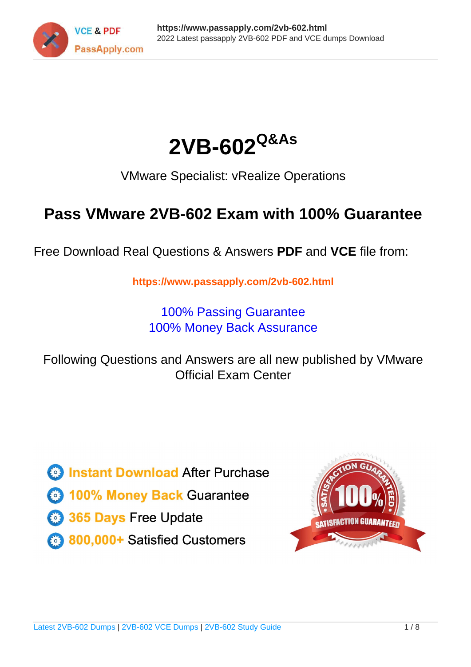



VMware Specialist: vRealize Operations

# **Pass VMware 2VB-602 Exam with 100% Guarantee**

Free Download Real Questions & Answers **PDF** and **VCE** file from:

**https://www.passapply.com/2vb-602.html**

100% Passing Guarantee 100% Money Back Assurance

Following Questions and Answers are all new published by VMware Official Exam Center

**C** Instant Download After Purchase

**83 100% Money Back Guarantee** 

- 365 Days Free Update
- 800,000+ Satisfied Customers

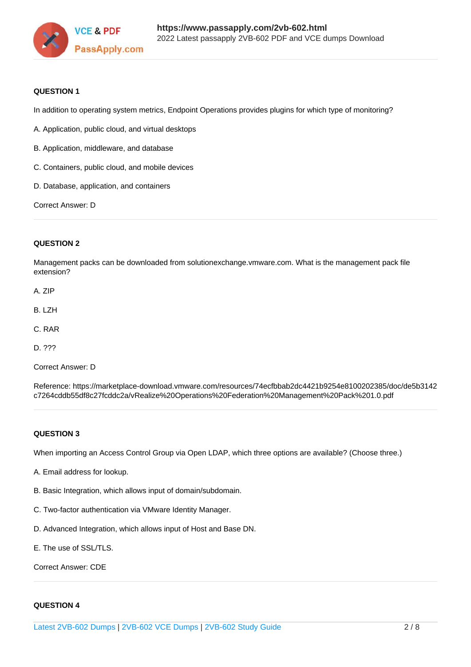

### **QUESTION 1**

In addition to operating system metrics, Endpoint Operations provides plugins for which type of monitoring?

A. Application, public cloud, and virtual desktops

- B. Application, middleware, and database
- C. Containers, public cloud, and mobile devices
- D. Database, application, and containers

Correct Answer: D

### **QUESTION 2**

Management packs can be downloaded from solutionexchange.vmware.com. What is the management pack file extension?

- A. ZIP
- B. LZH
- C. RAR
- D. ???

Correct Answer: D

Reference: https://marketplace-download.vmware.com/resources/74ecfbbab2dc4421b9254e8100202385/doc/de5b3142 c7264cddb55df8c27fcddc2a/vRealize%20Operations%20Federation%20Management%20Pack%201.0.pdf

#### **QUESTION 3**

When importing an Access Control Group via Open LDAP, which three options are available? (Choose three.)

- A. Email address for lookup.
- B. Basic Integration, which allows input of domain/subdomain.
- C. Two-factor authentication via VMware Identity Manager.
- D. Advanced Integration, which allows input of Host and Base DN.
- E. The use of SSL/TLS.

Correct Answer: CDE

### **QUESTION 4**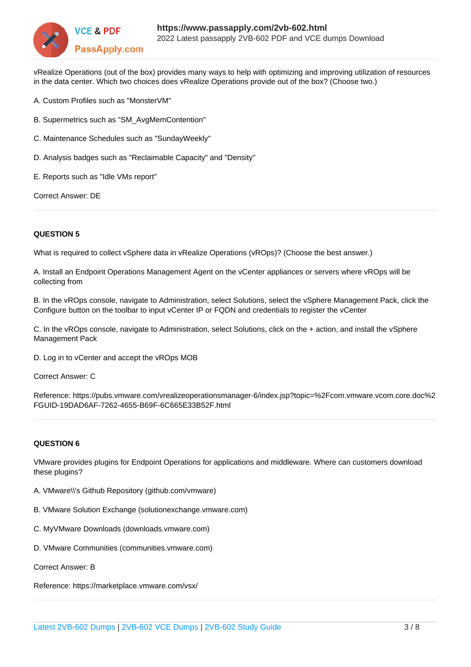

vRealize Operations (out of the box) provides many ways to help with optimizing and improving utilization of resources in the data center. Which two choices does vRealize Operations provide out of the box? (Choose two.)

- A. Custom Profiles such as "MonsterVM"
- B. Supermetrics such as "SM\_AvgMemContention"
- C. Maintenance Schedules such as "SundayWeekly"
- D. Analysis badges such as "Reclaimable Capacity" and "Density"
- E. Reports such as "Idle VMs report"

Correct Answer: DE

#### **QUESTION 5**

What is required to collect vSphere data in vRealize Operations (vROps)? (Choose the best answer.)

A. Install an Endpoint Operations Management Agent on the vCenter appliances or servers where vROps will be collecting from

B. In the vROps console, navigate to Administration, select Solutions, select the vSphere Management Pack, click the Configure button on the toolbar to input vCenter IP or FQDN and credentials to register the vCenter

C. In the vROps console, navigate to Administration, select Solutions, click on the + action, and install the vSphere Management Pack

D. Log in to vCenter and accept the vROps MOB

Correct Answer: C

Reference: https://pubs.vmware.com/vrealizeoperationsmanager-6/index.jsp?topic=%2Fcom.vmware.vcom.core.doc%2 FGUID-19DAD6AF-7262-4655-B69F-6C665E33B52F.html

#### **QUESTION 6**

VMware provides plugins for Endpoint Operations for applications and middleware. Where can customers download these plugins?

- A. VMware\\'s Github Repository (github.com/vmware)
- B. VMware Solution Exchange (solutionexchange.vmware.com)
- C. MyVMware Downloads (downloads.vmware.com)
- D. VMware Communities (communities.vmware.com)
- Correct Answer: B

Reference: https://marketplace.vmware.com/vsx/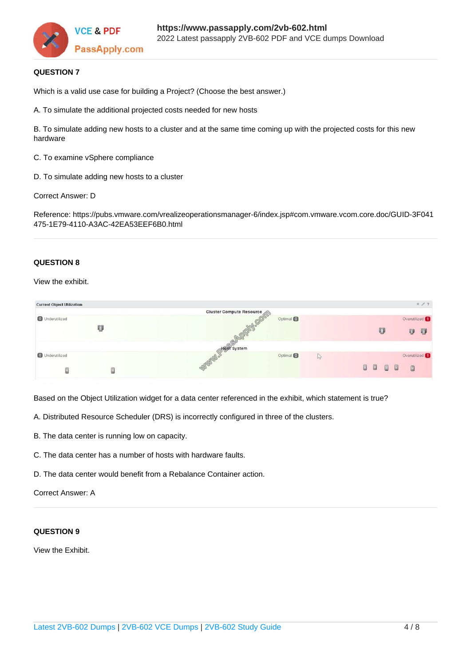

# **QUESTION 7**

Which is a valid use case for building a Project? (Choose the best answer.)

A. To simulate the additional projected costs needed for new hosts

B. To simulate adding new hosts to a cluster and at the same time coming up with the projected costs for this new hardware

C. To examine vSphere compliance

D. To simulate adding new hosts to a cluster

Correct Answer: D

Reference: https://pubs.vmware.com/vrealizeoperationsmanager-6/index.jsp#com.vmware.vcom.core.doc/GUID-3F041 475-1E79-4110-A3AC-42EA53EEF6B0.html

#### **QUESTION 8**

View the exhibit.

| <b>Current Object Utilization</b> |   |                          |                  |       |  |      |   |  | $\hat{z} \neq ?$          |
|-----------------------------------|---|--------------------------|------------------|-------|--|------|---|--|---------------------------|
|                                   |   | Cluster Compute Resource |                  |       |  |      |   |  |                           |
| <b>O</b> Underutilized            |   |                          | Optimal <b>O</b> |       |  |      |   |  | Overutilized 1            |
|                                   | U | <b>DOMIGON</b>           |                  |       |  |      | U |  | 印<br>印                    |
|                                   |   | Host System              |                  |       |  |      |   |  |                           |
| <b>O</b> Underutilized            |   | Wandor                   | Optimal <b>O</b> | $10-$ |  |      |   |  | Overutilized <sup>1</sup> |
|                                   | E |                          |                  |       |  | 0000 |   |  | $\Box$                    |

Based on the Object Utilization widget for a data center referenced in the exhibit, which statement is true?

- A. Distributed Resource Scheduler (DRS) is incorrectly configured in three of the clusters.
- B. The data center is running low on capacity.
- C. The data center has a number of hosts with hardware faults.
- D. The data center would benefit from a Rebalance Container action.

#### Correct Answer: A

#### **QUESTION 9**

View the Exhibit.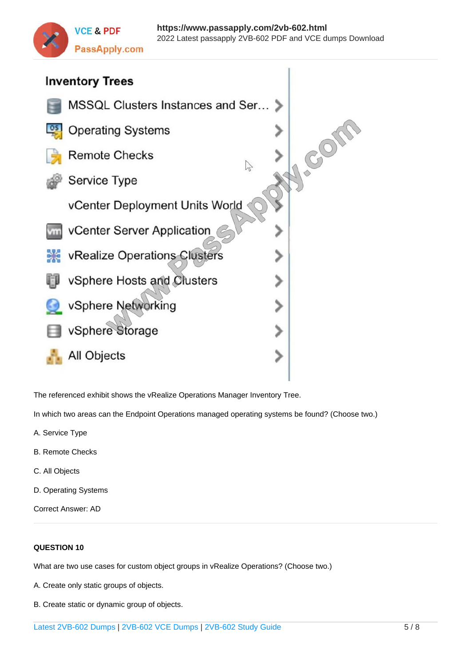



The referenced exhibit shows the vRealize Operations Manager Inventory Tree.

In which two areas can the Endpoint Operations managed operating systems be found? (Choose two.)

- A. Service Type
- B. Remote Checks
- C. All Objects
- D. Operating Systems
- Correct Answer: AD

# **QUESTION 10**

What are two use cases for custom object groups in vRealize Operations? (Choose two.)

- A. Create only static groups of objects.
- B. Create static or dynamic group of objects.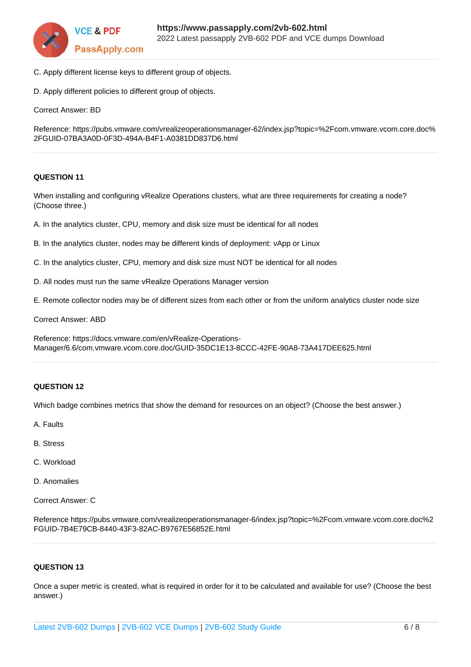

- C. Apply different license keys to different group of objects.
- D. Apply different policies to different group of objects.

Correct Answer: BD

Reference: https://pubs.vmware.com/vrealizeoperationsmanager-62/index.jsp?topic=%2Fcom.vmware.vcom.core.doc% 2FGUID-07BA3A0D-0F3D-494A-B4F1-A0381DD837D6.html

# **QUESTION 11**

When installing and configuring vRealize Operations clusters, what are three requirements for creating a node? (Choose three.)

- A. In the analytics cluster, CPU, memory and disk size must be identical for all nodes
- B. In the analytics cluster, nodes may be different kinds of deployment: vApp or Linux
- C. In the analytics cluster, CPU, memory and disk size must NOT be identical for all nodes
- D. All nodes must run the same vRealize Operations Manager version
- E. Remote collector nodes may be of different sizes from each other or from the uniform analytics cluster node size

Correct Answer: ABD

Reference: https://docs.vmware.com/en/vRealize-Operations-Manager/6.6/com.vmware.vcom.core.doc/GUID-35DC1E13-8CCC-42FE-90A8-73A417DEE625.html

# **QUESTION 12**

Which badge combines metrics that show the demand for resources on an object? (Choose the best answer.)

- A. Faults
- B. Stress
- C. Workload
- D. Anomalies
- Correct Answer: C

Reference https://pubs.vmware.com/vrealizeoperationsmanager-6/index.jsp?topic=%2Fcom.vmware.vcom.core.doc%2 FGUID-7B4E79CB-8440-43F3-82AC-B9767E56852E.html

# **QUESTION 13**

Once a super metric is created, what is required in order for it to be calculated and available for use? (Choose the best answer.)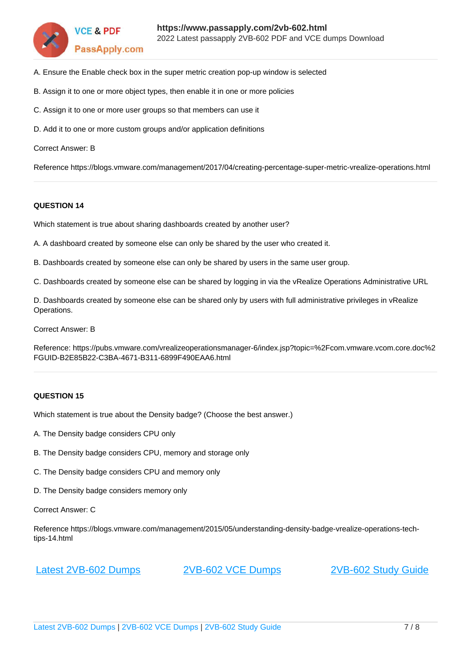

- A. Ensure the Enable check box in the super metric creation pop-up window is selected
- B. Assign it to one or more object types, then enable it in one or more policies
- C. Assign it to one or more user groups so that members can use it
- D. Add it to one or more custom groups and/or application definitions

Correct Answer: B

Reference https://blogs.vmware.com/management/2017/04/creating-percentage-super-metric-vrealize-operations.html

#### **QUESTION 14**

Which statement is true about sharing dashboards created by another user?

A. A dashboard created by someone else can only be shared by the user who created it.

B. Dashboards created by someone else can only be shared by users in the same user group.

C. Dashboards created by someone else can be shared by logging in via the vRealize Operations Administrative URL

D. Dashboards created by someone else can be shared only by users with full administrative privileges in vRealize Operations.

Correct Answer: B

Reference: https://pubs.vmware.com/vrealizeoperationsmanager-6/index.jsp?topic=%2Fcom.vmware.vcom.core.doc%2 FGUID-B2E85B22-C3BA-4671-B311-6899F490EAA6.html

# **QUESTION 15**

Which statement is true about the Density badge? (Choose the best answer.)

- A. The Density badge considers CPU only
- B. The Density badge considers CPU, memory and storage only
- C. The Density badge considers CPU and memory only
- D. The Density badge considers memory only

#### Correct Answer: C

Reference https://blogs.vmware.com/management/2015/05/understanding-density-badge-vrealize-operations-techtips-14.html

[Latest 2VB-602 Dumps](https://www.passapply.com/2vb-602.html) [2VB-602 VCE Dumps](https://www.passapply.com/2vb-602.html) [2VB-602 Study Guide](https://www.passapply.com/2vb-602.html)